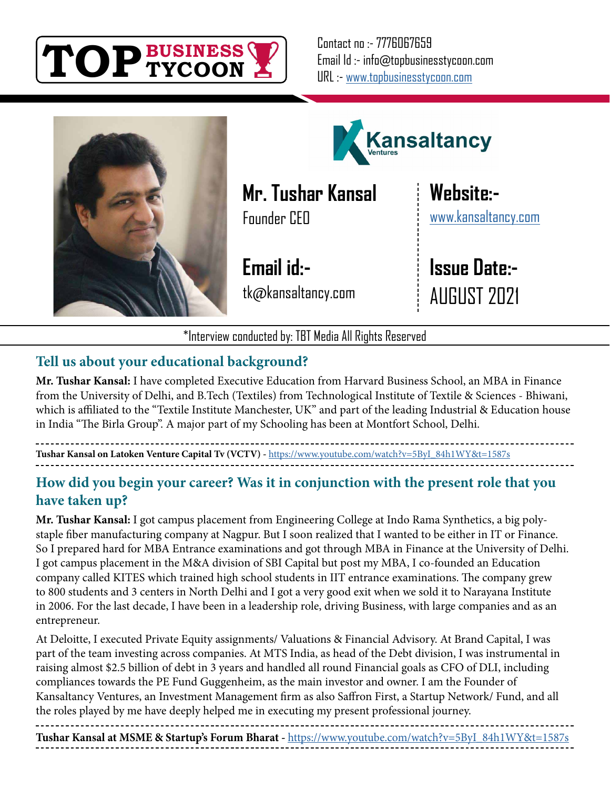

Contact no :- 7776067659 Email Id :- info@topbusinesstycoon.com URL :- [www.topbusinesstycoon.com](https://www.topbusinesstycoon.com/)





**Mr. Tushar Kansal** Founder CEO

**Email id:** tk@kansaltancy.com **Website:** [www.kansaltancy.com](https://www.kansaltancy.com/)

**Issue Date:-** AUGUST 2021

\*Interview conducted by: TBT Media All Rights Reserved

# **Tell us about your educational background?**

**Mr. Tushar Kansal:** I have completed Executive Education from Harvard Business School, an MBA in Finance from the University of Delhi, and B.Tech (Textiles) from Technological Institute of Textile & Sciences - Bhiwani, which is affiliated to the "Textile Institute Manchester, UK" and part of the leading Industrial & Education house in India "The Birla Group". A major part of my Schooling has been at Montfort School, Delhi.

**Tushar Kansal on Latoken Venture Capital Tv (VCTV) -** [https://www.youtube.com/watch?v=5ByI\\_84h1WY&t=1587s](https://www.youtube.com/watch?v=5ByI_84h1WY&t=1587s)

## **How did you begin your career? Was it in conjunction with the present role that you have taken up?**

**Mr. Tushar Kansal:** I got campus placement from Engineering College at Indo Rama Synthetics, a big polystaple fiber manufacturing company at Nagpur. But I soon realized that I wanted to be either in IT or Finance. So I prepared hard for MBA Entrance examinations and got through MBA in Finance at the University of Delhi. I got campus placement in the M&A division of SBI Capital but post my MBA, I co-founded an Education company called KITES which trained high school students in IIT entrance examinations. The company grew to 800 students and 3 centers in North Delhi and I got a very good exit when we sold it to Narayana Institute in 2006. For the last decade, I have been in a leadership role, driving Business, with large companies and as an entrepreneur.

At Deloitte, I executed Private Equity assignments/ Valuations & Financial Advisory. At Brand Capital, I was part of the team investing across companies. At MTS India, as head of the Debt division, I was instrumental in raising almost \$2.5 billion of debt in 3 years and handled all round Financial goals as CFO of DLI, including compliances towards the PE Fund Guggenheim, as the main investor and owner. I am the Founder of Kansaltancy Ventures, an Investment Management firm as also Saffron First, a Startup Network/ Fund, and all the roles played by me have deeply helped me in executing my present professional journey.

**Tushar Kansal at MSME & Startup's Forum Bharat -** [https://www.youtube.com/watch?v=5ByI\\_84h1WY&t=1587s](https://www.youtube.com/watch?v=kG6uCsRUBJU&t=3080s)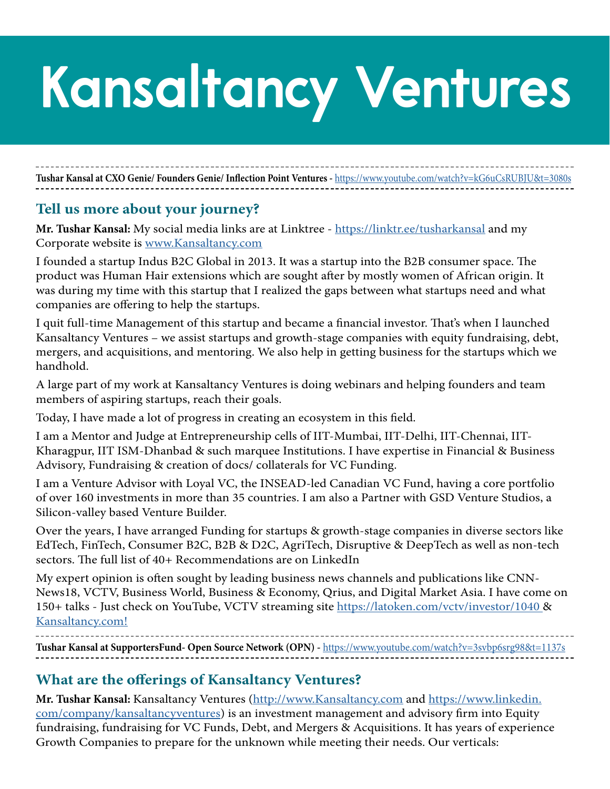# **Kansaltancy Ventures**

**Tushar Kansal at CXO Genie/ Founders Genie/ Inflection Point Ventures -** [https://www.youtube.com/watch?v=kG6uCsRUBJU&t=3080s](https://www.youtube.com/watch?v=3svbp6srg98&t=1137s)

#### **Tell us more about your journey?**

**Mr. Tushar Kansal:** My social media links are at Linktree -<https://linktr.ee/tusharkansal> and my Corporate website is [www.Kansaltancy.com](http://www.Kansaltancy.com)

I founded a startup Indus B2C Global in 2013. It was a startup into the B2B consumer space. The product was Human Hair extensions which are sought after by mostly women of African origin. It was during my time with this startup that I realized the gaps between what startups need and what companies are offering to help the startups.

I quit full-time Management of this startup and became a financial investor. That's when I launched Kansaltancy Ventures – we assist startups and growth-stage companies with equity fundraising, debt, mergers, and acquisitions, and mentoring. We also help in getting business for the startups which we handhold.

A large part of my work at Kansaltancy Ventures is doing webinars and helping founders and team members of aspiring startups, reach their goals.

Today, I have made a lot of progress in creating an ecosystem in this field.

I am a Mentor and Judge at Entrepreneurship cells of IIT-Mumbai, IIT-Delhi, IIT-Chennai, IIT-Kharagpur, IIT ISM-Dhanbad & such marquee Institutions. I have expertise in Financial & Business Advisory, Fundraising & creation of docs/ collaterals for VC Funding.

I am a Venture Advisor with Loyal VC, the INSEAD-led Canadian VC Fund, having a core portfolio of over 160 investments in more than 35 countries. I am also a Partner with GSD Venture Studios, a Silicon-valley based Venture Builder.

Over the years, I have arranged Funding for startups & growth-stage companies in diverse sectors like EdTech, FinTech, Consumer B2C, B2B & D2C, AgriTech, Disruptive & DeepTech as well as non-tech sectors. The full list of 40+ Recommendations are on LinkedIn

My expert opinion is often sought by leading business news channels and publications like CNN-News18, VCTV, Business World, Business & Economy, Qrius, and Digital Market Asia. I have come on 150+ talks - Just check on YouTube, VCTV streaming site [https://latoken.com/vctv/investor/1040 &](https://latoken.com/vctv/investor/1040) [Kansaltancy.com!](http://Kansaltancy.com!)

**Tushar Kansal at SupportersFund- Open Source Network (OPN) -** [https://www.youtube.com/watch?v=3svbp6srg98&t=1137s](https://www.youtube.com/watch?v=ARABf37jQXs&t=434s)

## **What are the offerings of Kansaltancy Ventures?**

**Mr. Tushar Kansal:** Kansaltancy Ventures [\(http://www.Kansaltancy.com](http://www.Kansaltancy.com) and [https://www.linkedin.](https://www.linkedin.com/company/kansaltancyventures) [com/company/kansaltancyventures](https://www.linkedin.com/company/kansaltancyventures)) is an investment management and advisory firm into Equity fundraising, fundraising for VC Funds, Debt, and Mergers & Acquisitions. It has years of experience Growth Companies to prepare for the unknown while meeting their needs. Our verticals: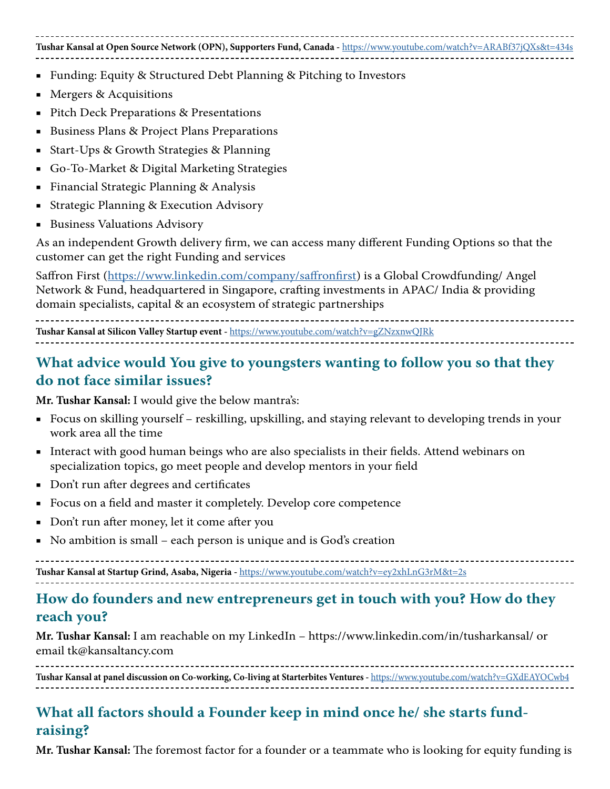#### **Tushar Kansal at Open Source Network (OPN), Supporters Fund, Canada -** <https://www.youtube.com/watch?v=ARABf37jQXs&t=434s>

- Funding: Equity & Structured Debt Planning & Pitching to Investors
- Mergers & Acquisitions
- Pitch Deck Preparations & Presentations
- Business Plans & Project Plans Preparations
- Start-Ups & Growth Strategies & Planning
- Go-To-Market & Digital Marketing Strategies
- **Financial Strategic Planning & Analysis**
- Strategic Planning & Execution Advisory
- **Business Valuations Advisory**

As an independent Growth delivery firm, we can access many different Funding Options so that the customer can get the right Funding and services

Saffron First [\(https://www.linkedin.com/company/saffronfirst\)](mailto:https://www.linkedin.com/company/saffronfirst/?subject=) is a Global Crowdfunding/ Angel Network & Fund, headquartered in Singapore, crafting investments in APAC/ India & providing domain specialists, capital & an ecosystem of strategic partnerships

**Tushar Kansal at Silicon Valley Startup event -** <https://www.youtube.com/watch?v=gZNzxnwQJRk>

## **What advice would You give to youngsters wanting to follow you so that they do not face similar issues?**

**Mr. Tushar Kansal:** I would give the below mantra's:

- Focus on skilling yourself reskilling, upskilling, and staying relevant to developing trends in your work area all the time
- Interact with good human beings who are also specialists in their fields. Attend webinars on specialization topics, go meet people and develop mentors in your field
- Don't run after degrees and certificates
- Focus on a field and master it completely. Develop core competence
- Don't run after money, let it come after you
- No ambition is small each person is unique and is God's creation

**Tushar Kansal at Startup Grind, Asaba, Nigeria -** <https://www.youtube.com/watch?v=ey2xhLnG3rM&t=2s>

## **How do founders and new entrepreneurs get in touch with you? How do they reach you?**

**Mr. Tushar Kansal:** I am reachable on my LinkedIn – https://www.linkedin.com/in/tusharkansal/ or email tk@kansaltancy.com

**Tushar Kansal at panel discussion on Co-working, Co-living at Starterbites Ventures -** <https://www.youtube.com/watch?v=GXdEAYOCwb4>

# **What all factors should a Founder keep in mind once he/ she starts fundraising?**

**Mr. Tushar Kansal:** The foremost factor for a founder or a teammate who is looking for equity funding is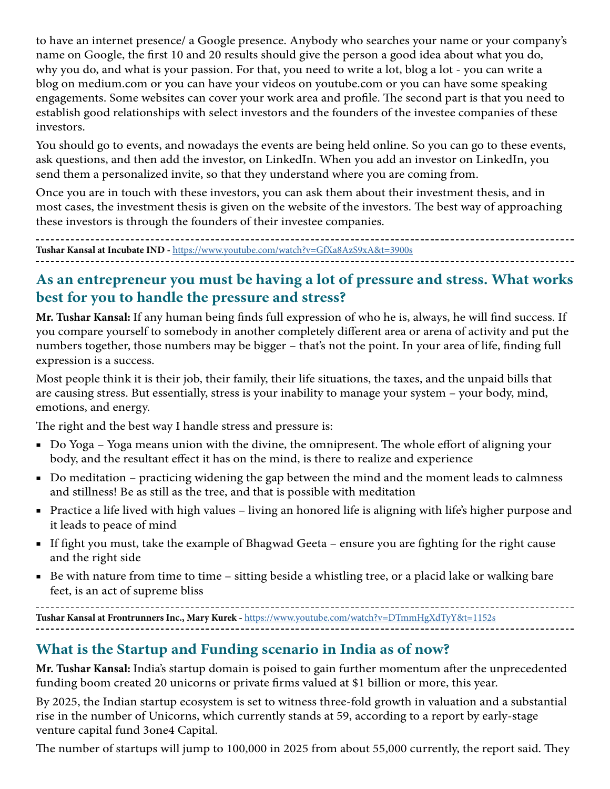to have an internet presence/ a Google presence. Anybody who searches your name or your company's name on Google, the first 10 and 20 results should give the person a good idea about what you do, why you do, and what is your passion. For that, you need to write a lot, blog a lot - you can write a blog on medium.com or you can have your videos on youtube.com or you can have some speaking engagements. Some websites can cover your work area and profile. The second part is that you need to establish good relationships with select investors and the founders of the investee companies of these investors.

You should go to events, and nowadays the events are being held online. So you can go to these events, ask questions, and then add the investor, on LinkedIn. When you add an investor on LinkedIn, you send them a personalized invite, so that they understand where you are coming from.

Once you are in touch with these investors, you can ask them about their investment thesis, and in most cases, the investment thesis is given on the website of the investors. The best way of approaching these investors is through the founders of their investee companies.

**Tushar Kansal at Incubate IND -** <https://www.youtube.com/watch?v=GfXa8AzS9xA&t=3900s>

# **As an entrepreneur you must be having a lot of pressure and stress. What works best for you to handle the pressure and stress?**

**Mr. Tushar Kansal:** If any human being finds full expression of who he is, always, he will find success. If you compare yourself to somebody in another completely different area or arena of activity and put the numbers together, those numbers may be bigger – that's not the point. In your area of life, finding full expression is a success.

Most people think it is their job, their family, their life situations, the taxes, and the unpaid bills that are causing stress. But essentially, stress is your inability to manage your system – your body, mind, emotions, and energy.

The right and the best way I handle stress and pressure is:

- Do Yoga Yoga means union with the divine, the omnipresent. The whole effort of aligning your body, and the resultant effect it has on the mind, is there to realize and experience
- Do meditation practicing widening the gap between the mind and the moment leads to calmness and stillness! Be as still as the tree, and that is possible with meditation
- Practice a life lived with high values living an honored life is aligning with life's higher purpose and it leads to peace of mind
- If fight you must, take the example of Bhagwad Geeta ensure you are fighting for the right cause and the right side
- Be with nature from time to time sitting beside a whistling tree, or a placid lake or walking bare feet, is an act of supreme bliss

**Tushar Kansal at Frontrunners Inc., Mary Kurek -** <https://www.youtube.com/watch?v=DTmmHgXdTyY&t=1152s>

# **What is the Startup and Funding scenario in India as of now?**

**Mr. Tushar Kansal:** India's startup domain is poised to gain further momentum after the unprecedented funding boom created 20 unicorns or private firms valued at \$1 billion or more, this year.

By 2025, the Indian startup ecosystem is set to witness three-fold growth in valuation and a substantial rise in the number of Unicorns, which currently stands at 59, according to a report by early-stage venture capital fund 3one4 Capital.

The number of startups will jump to 100,000 in 2025 from about 55,000 currently, the report said. They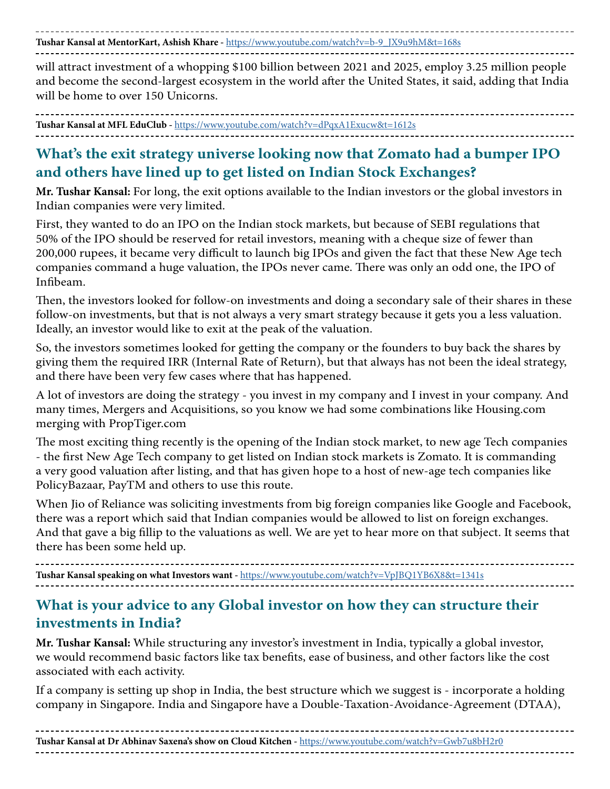**Tushar Kansal at MentorKart, Ashish Khare -** [https://www.youtube.com/watch?v=b-9\\_JX9u9hM&t=168s](https://www.youtube.com/watch?v=b-9_JX9u9hM&t=168s)

will attract investment of a whopping \$100 billion between 2021 and 2025, employ 3.25 million people and become the second-largest ecosystem in the world after the United States, it said, adding that India will be home to over 150 Unicorns.

**Tushar Kansal at MFL EduClub -** <https://www.youtube.com/watch?v=dPqxA1Exucw&t=1612s>

## **What's the exit strategy universe looking now that Zomato had a bumper IPO and others have lined up to get listed on Indian Stock Exchanges?**

**Mr. Tushar Kansal:** For long, the exit options available to the Indian investors or the global investors in Indian companies were very limited.

First, they wanted to do an IPO on the Indian stock markets, but because of SEBI regulations that 50% of the IPO should be reserved for retail investors, meaning with a cheque size of fewer than 200,000 rupees, it became very difficult to launch big IPOs and given the fact that these New Age tech companies command a huge valuation, the IPOs never came. There was only an odd one, the IPO of Infibeam.

Then, the investors looked for follow-on investments and doing a secondary sale of their shares in these follow-on investments, but that is not always a very smart strategy because it gets you a less valuation. Ideally, an investor would like to exit at the peak of the valuation.

So, the investors sometimes looked for getting the company or the founders to buy back the shares by giving them the required IRR (Internal Rate of Return), but that always has not been the ideal strategy, and there have been very few cases where that has happened.

A lot of investors are doing the strategy - you invest in my company and I invest in your company. And many times, Mergers and Acquisitions, so you know we had some combinations like Housing.com merging with PropTiger.com

The most exciting thing recently is the opening of the Indian stock market, to new age Tech companies - the first New Age Tech company to get listed on Indian stock markets is Zomato. It is commanding a very good valuation after listing, and that has given hope to a host of new-age tech companies like PolicyBazaar, PayTM and others to use this route.

When Jio of Reliance was soliciting investments from big foreign companies like Google and Facebook, there was a report which said that Indian companies would be allowed to list on foreign exchanges. And that gave a big fillip to the valuations as well. We are yet to hear more on that subject. It seems that there has been some held up.

**Tushar Kansal speaking on what Investors want -** <https://www.youtube.com/watch?v=VpJBQ1YB6X8&t=1341s>

## **What is your advice to any Global investor on how they can structure their investments in India?**

**Mr. Tushar Kansal:** While structuring any investor's investment in India, typically a global investor, we would recommend basic factors like tax benefits, ease of business, and other factors like the cost associated with each activity.

If a company is setting up shop in India, the best structure which we suggest is - incorporate a holding company in Singapore. India and Singapore have a Double-Taxation-Avoidance-Agreement (DTAA),

**Tushar Kansal at Dr Abhinav Saxena's show on Cloud Kitchen -** <https://www.youtube.com/watch?v=Gwb7u8bH2r0>